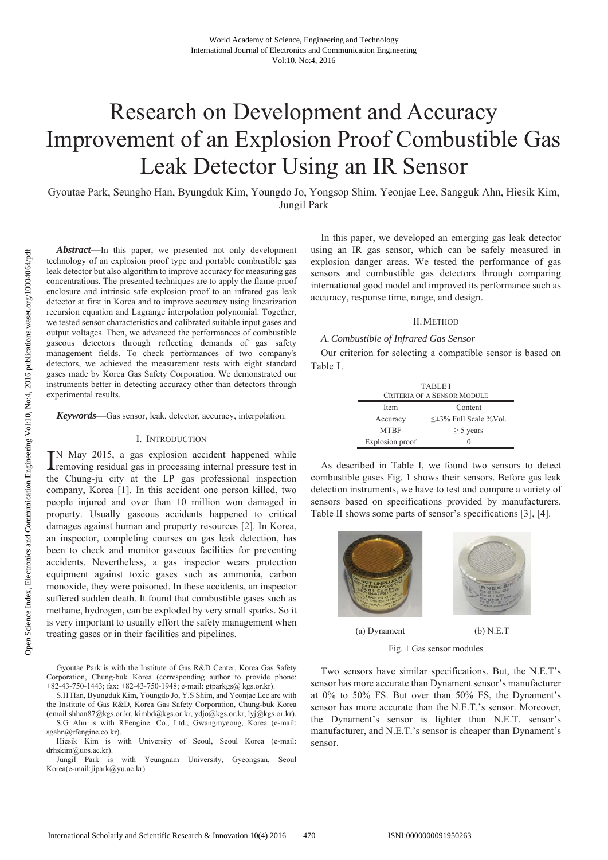# **Research on Development and Accuracy** Improvement of an Explosion Proof Combustible Gas Leak Detector Using an IR Sensor

Gyoutae Park, Seungho Han, Byungduk Kim, Youngdo Jo, Yongsop Shim, Yeonjae Lee, Sangguk Ahn, Hiesik Kim, Jungil Park

Abstract-In this paper, we presented not only development technology of an explosion proof type and portable combustible gas leak detector but also algorithm to improve accuracy for measuring gas concentrations. The presented techniques are to apply the flame-proof enclosure and intrinsic safe explosion proof to an infrared gas leak detector at first in Korea and to improve accuracy using linearization recursion equation and Lagrange interpolation polynomial. Together, we tested sensor characteristics and calibrated suitable input gases and output voltages. Then, we advanced the performances of combustible gaseous detectors through reflecting demands of gas safety management fields. To check performances of two company's detectors, we achieved the measurement tests with eight standard gases made by Korea Gas Safety Corporation. We demonstrated our instruments better in detecting accuracy other than detectors through experimental results.

Keywords-Gas sensor, leak, detector, accuracy, interpolation.

### I. INTRODUCTION

IN May 2015, a gas explosion accident happened while<br>tremoving residual gas in processing internal pressure test in the Chung-ju city at the LP gas professional inspection company, Korea [1]. In this accident one person killed, two people injured and over than 10 million won damaged in property. Usually gaseous accidents happened to critical damages against human and property resources [2]. In Korea, an inspector, completing courses on gas leak detection, has been to check and monitor gaseous facilities for preventing accidents. Nevertheless, a gas inspector wears protection equipment against toxic gases such as ammonia, carbon monoxide, they were poisoned. In these accidents, an inspector suffered sudden death. It found that combustible gases such as methane, hydrogen, can be exploded by very small sparks. So it is very important to usually effort the safety management when treating gases or in their facilities and pipelines.

Gyoutae Park is with the Institute of Gas R&D Center, Korea Gas Safety Corporation, Chung-buk Korea (corresponding author to provide phone: +82-43-750-1443; fax: +82-43-750-1948; e-mail: gtparkgs@ kgs.or.kr).

S.H Han, Byungduk Kim, Youngdo Jo, Y.S Shim, and Yeonjae Lee are with the Institute of Gas R&D, Korea Gas Safety Corporation, Chung-buk Korea (email:shhan87@kgs.or.kr, kimbd@kgs.or.kr, ydjo@kgs.or.kr, lyj@kgs.or.kr).

S.G Ahn is with RFengine. Co., Ltd., Gwangmyeong, Korea (e-mail: sgahn@rfengine.co.kr).

Hiesik Kim is with University of Seoul, Seoul Korea (e-mail: drhskim@uos.ac.kr).

Jungil Park is with Yeungnam University, Gyeongsan, Seoul Korea(e-mail:jipark@yu.ac.kr)

In this paper, we developed an emerging gas leak detector using an IR gas sensor, which can be safely measured in explosion danger areas. We tested the performance of gas sensors and combustible gas detectors through comparing international good model and improved its performance such as accuracy, response time, range, and design.

## **II. METHOD**

## A. Combustible of Infrared Gas Sensor

Our criterion for selecting a compatible sensor is based on Table L.

| <b>TABLEI</b><br><b>CRITERIA OF A SENSOR MODULE</b> |                                 |  |  |
|-----------------------------------------------------|---------------------------------|--|--|
| Content<br>Item                                     |                                 |  |  |
| Accuracy                                            | $\leq \pm 3\%$ Full Scale %Vol. |  |  |
| <b>MTRF</b>                                         | $\geq$ 5 years                  |  |  |
| Explosion proof                                     | 0                               |  |  |

As described in Table I, we found two sensors to detect combustible gases Fig. 1 shows their sensors. Before gas leak detection instruments, we have to test and compare a variety of sensors based on specifications provided by manufacturers. Table II shows some parts of sensor's specifications [3], [4].



(a) Dynament

 $(b) N.E.T$ 

Fig. 1 Gas sensor modules

Two sensors have similar specifications. But, the N.E.T's sensor has more accurate than Dynament sensor's manufacturer at 0% to 50% FS. But over than 50% FS, the Dynament's sensor has more accurate than the N.E.T.'s sensor. Moreover, the Dynament's sensor is lighter than N.E.T. sensor's manufacturer, and N.E.T.'s sensor is cheaper than Dynament's sensor.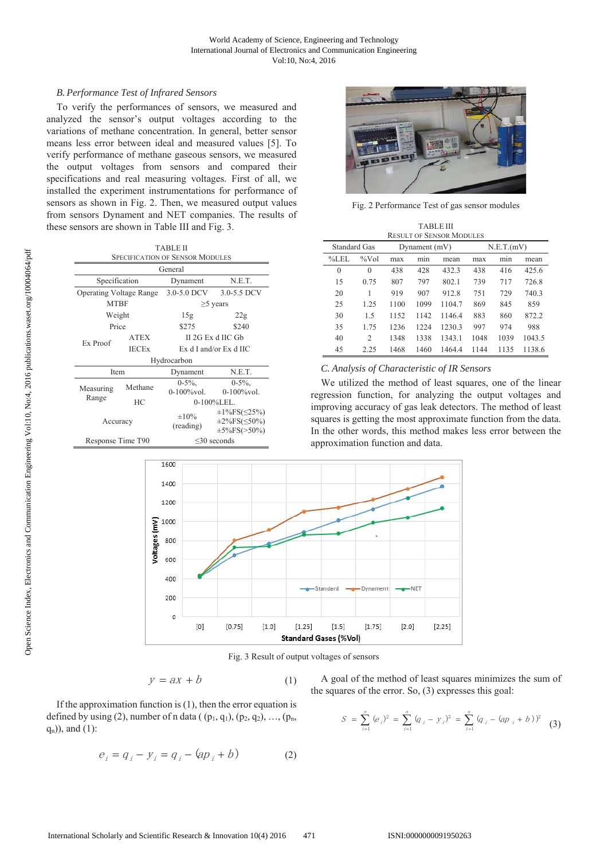## **B. Performance Test of Infrared Sensors**

To verify the performances of sensors, we measured and analyzed the sensor's output voltages according to the variations of methane concentration. In general, better sensor means less error between ideal and measured values [5]. To verify performance of methane gaseous sensors, we measured the output voltages from sensors and compared their specifications and real measuring voltages. First of all, we installed the experiment instrumentations for performance of sensors as shown in Fig. 2. Then, we measured output values from sensors Dynament and NET companies. The results of these sensors are shown in Table III and Fig. 3.

| TABLE II                                          |                   |                                |                                                                                |  |  |
|---------------------------------------------------|-------------------|--------------------------------|--------------------------------------------------------------------------------|--|--|
| <b>SPECIFICATION OF SENSOR MODULES</b><br>General |                   |                                |                                                                                |  |  |
|                                                   |                   |                                |                                                                                |  |  |
| Specification                                     |                   | Dynament                       | N.E.T.                                                                         |  |  |
| <b>Operating Voltage Range</b>                    |                   | $3.0 - 5.0$ DCV<br>3.0-5.5 DCV |                                                                                |  |  |
| <b>MTBF</b>                                       |                   |                                | $\geq$ years                                                                   |  |  |
| Weight                                            |                   | 15g                            | 22g                                                                            |  |  |
|                                                   | Price             |                                | \$240                                                                          |  |  |
| Ex Proof                                          | <b>ATEX</b>       | II 2G Ex d IIC Gb              |                                                                                |  |  |
|                                                   | <b>IECEx</b>      | Ex d I and/or Ex d IIC         |                                                                                |  |  |
|                                                   |                   | Hydrocarbon                    |                                                                                |  |  |
| Item                                              |                   | Dynament                       | N.E.T.                                                                         |  |  |
| Measuring                                         | Methane           | $0-5\%$ .<br>$0-100\%$ vol.    | $0-5\%$ ,<br>$0-100\%$ vol.                                                    |  |  |
| Range                                             | HС                |                                | $0-100\%$ LEL.                                                                 |  |  |
| Accuracy                                          |                   | $\pm 10\%$<br>(reading)        | $\pm 1\%$ FS( $\leq$ 25%)<br>$\pm 2\%$ FS( $\leq 50\%$ )<br>$\pm 5\%$ FS(>50%) |  |  |
|                                                   | Response Time T90 |                                | $\leq$ 30 seconds                                                              |  |  |



Fig. 2 Performance Test of gas sensor modules

| <b>TABLE III</b><br><b>RESULT OF SENSOR MODULES</b> |          |                 |      |        |            |      |        |
|-----------------------------------------------------|----------|-----------------|------|--------|------------|------|--------|
| Standard Gas                                        |          | Dynament $(mV)$ |      |        | N.E.T.(mV) |      |        |
| $%$ LEL                                             | $\%$ Vol | max             | mın  | mean   | max        | mın  | mean   |
| $\theta$                                            | $\Omega$ | 438             | 428  | 432.3  | 438        | 416  | 425.6  |
| 15                                                  | 0.75     | 807             | 797  | 802.1  | 739        | 717  | 726.8  |
| 20                                                  | 1        | 919             | 907  | 912.8  | 751        | 729  | 740.3  |
| 25                                                  | 1.25     | 1100            | 1099 | 1104.7 | 869        | 845  | 859    |
| 30                                                  | 1.5      | 1152            | 1142 | 1146.4 | 883        | 860  | 872.2  |
| 35                                                  | 1.75     | 1236            | 1224 | 1230.3 | 997        | 974  | 988    |
| 40                                                  | 2        | 1348            | 1338 | 1343.1 | 1048       | 1039 | 1043.5 |
| 45                                                  | 2.25     | 1468            | 1460 | 1464.4 | 1144       | 1135 | 1138.6 |

## C. Analysis of Characteristic of IR Sensors

We utilized the method of least squares, one of the linear regression function, for analyzing the output voltages and improving accuracy of gas leak detectors. The method of least squares is getting the most approximate function from the data. In the other words, this method makes less error between the approximation function and data.



Fig. 3 Result of output voltages of sensors

$$
y = ax + b \tag{1}
$$

If the approximation function is  $(1)$ , then the error equation is defined by using (2), number of n data ( $(p_1, q_1)$ ,  $(p_2, q_2)$ , ...,  $(p_n,$  $q_n$ )), and (1):

$$
e_i = q_i - y_i = q_i - (ap_i + b)
$$
 (2)

A goal of the method of least squares minimizes the sum of the squares of the error. So,  $(3)$  expresses this goal:

$$
S = \sum_{i=1}^{n} (e_i)^2 = \sum_{i=1}^{n} (q_i - y_i)^2 = \sum_{i=1}^{n} (q_i - (ap_i + b))^2
$$
 (3)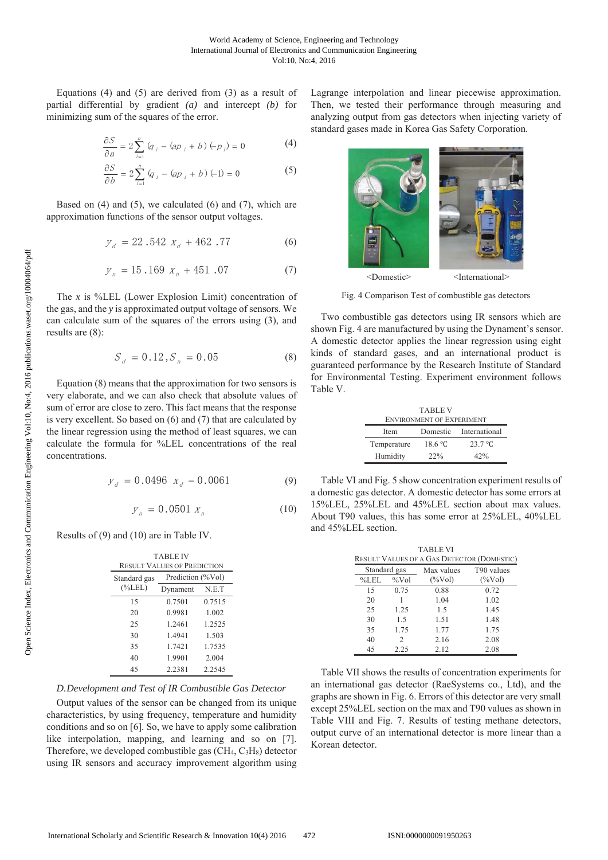Equations  $(4)$  and  $(5)$  are derived from  $(3)$  as a result of partial differential by gradient  $(a)$  and intercept  $(b)$  for minimizing sum of the squares of the error.

$$
\frac{\partial S}{\partial a} = 2 \sum_{i=1}^{n} (q_i - (ap_i + b) (-p_i) = 0 \tag{4}
$$

$$
\frac{\partial S}{\partial b} = 2 \sum_{i=1}^{n} (q_i - (ap_i + b) (-1) = 0 \tag{5}
$$

Based on  $(4)$  and  $(5)$ , we calculated  $(6)$  and  $(7)$ , which are approximation functions of the sensor output voltages.

$$
y_d = 22.542 x_d + 462.77 \tag{6}
$$

$$
y_n = 15.169 \, x_n + 451.07 \tag{7}
$$

The x is %LEL (Lower Explosion Limit) concentration of the gas, and the y is approximated output voltage of sensors. We can calculate sum of the squares of the errors using (3), and results are  $(8)$ :

$$
S_d = 0.12, S_n = 0.05 \tag{8}
$$

Equation  $(8)$  means that the approximation for two sensors is very elaborate, and we can also check that absolute values of sum of error are close to zero. This fact means that the response is very excellent. So based on  $(6)$  and  $(7)$  that are calculated by the linear regression using the method of least squares, we can calculate the formula for %LEL concentrations of the real concentrations.

$$
y_d = 0.0496 \t x_d - 0.0061 \t(9)
$$

$$
y_{n} = 0.0501 x_{n} \tag{10}
$$

Results of (9) and (10) are in Table IV.

| <b>TABLE IV</b><br><b>RESULT VALUES OF PREDICTION</b> |                   |        |  |  |
|-------------------------------------------------------|-------------------|--------|--|--|
| Standard gas                                          | Prediction (%Vol) |        |  |  |
| $(\%LEL)$                                             | Dynament          | N.E.T  |  |  |
| 15                                                    | 0.7501            | 0.7515 |  |  |
| 20                                                    | 0.9981            | 1.002  |  |  |
| 25                                                    | 1.2461            | 1.2525 |  |  |
| 30                                                    | 1.4941            | 1.503  |  |  |
| 35                                                    | 1.7421            | 1.7535 |  |  |
| 40                                                    | 1.9901            | 2.004  |  |  |
| 45                                                    | 2.2381            | 2.2545 |  |  |

## D.Development and Test of IR Combustible Gas Detector

Output values of the sensor can be changed from its unique characteristics, by using frequency, temperature and humidity conditions and so on [6]. So, we have to apply some calibration like interpolation, mapping, and learning and so on [7]. Therefore, we developed combustible gas  $(CH_4, C_3H_8)$  detector using IR sensors and accuracy improvement algorithm using Lagrange interpolation and linear piecewise approximation. Then, we tested their performance through measuring and analyzing output from gas detectors when injecting variety of standard gases made in Korea Gas Safety Corporation.



Fig. 4 Comparison Test of combustible gas detectors

Two combustible gas detectors using IR sensors which are shown Fig. 4 are manufactured by using the Dynament's sensor. A domestic detector applies the linear regression using eight kinds of standard gases, and an international product is guaranteed performance by the Research Institute of Standard for Environmental Testing. Experiment environment follows Table V.

| <b>TABLE V</b>                   |         |                        |  |  |
|----------------------------------|---------|------------------------|--|--|
| <b>ENVIRONMENT OF EXPERIMENT</b> |         |                        |  |  |
| <b>Item</b>                      |         | Domestic International |  |  |
| Temperature                      | 18.6 °C | 23.7 °C                |  |  |
| Humidity                         | 22%     | 42%                    |  |  |

Table VI and Fig. 5 show concentration experiment results of a domestic gas detector. A domestic detector has some errors at 15%LEL, 25%LEL and 45%LEL section about max values. About T90 values, this has some error at 25%LEL, 40%LEL and 45%LEL section.

|              |               | <b>TABLE VI</b><br><b>RESULT VALUES OF A GAS DETECTOR (DOMESTIC)</b> |            |
|--------------|---------------|----------------------------------------------------------------------|------------|
| Standard gas |               | Max values                                                           | T90 values |
| %LEL         | $\%$ Vol      | $(\%Vol)$                                                            | $(\%Vol)$  |
| 15           | 0.75          | 0.88                                                                 | 0.72       |
| 20           |               | 1.04                                                                 | 1.02       |
| 25           | 1.25          | 1.5                                                                  | 1.45       |
| 30           | 1.5           | 1.51                                                                 | 1.48       |
| 35           | 1.75          | 1.77                                                                 | 1.75       |
| 40           | $\mathcal{D}$ | 2.16                                                                 | 2.08       |
| 45           | 2.25          | 2.12                                                                 | 2.08       |

Table VII shows the results of concentration experiments for an international gas detector (RaeSystems co., Ltd), and the graphs are shown in Fig. 6. Errors of this detector are very small except 25%LEL section on the max and T90 values as shown in Table VIII and Fig. 7. Results of testing methane detectors, output curve of an international detector is more linear than a Korean detector.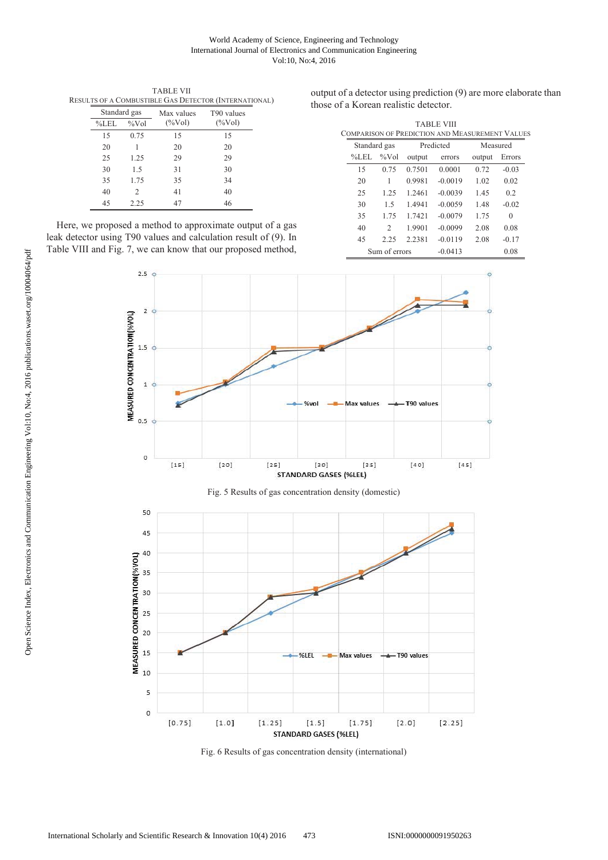### World Academy of Science, Engineering and Technology International Journal of Electronics and Communication Engineering Vol:10, No:4, 2016

|              |          |            | RESULTS OF A COMBUSTIBLE GAS DETECTOR (INTERNATIONAL) |  |
|--------------|----------|------------|-------------------------------------------------------|--|
| Standard gas |          | Max values | T90 values                                            |  |
| %LEL         | $\%$ Vol | $(\%Vol)$  | $(\%Vol)$                                             |  |
| 15           | 0.75     | 15         | 15                                                    |  |
| 20           |          | 20         | 20                                                    |  |
| 25           | 1.25     | 29         | 29                                                    |  |
| 30           | 1.5      | 31         | 30                                                    |  |
| 35           | 1.75     | 35         | 34                                                    |  |
| 40           | 2        | 41         | 40                                                    |  |
| 45           | 2.25     | 47         | 46                                                    |  |

TABLE VII

output of a detector using prediction (9) are more elaborate than those of a Korean realistic detector.

|              |               |           | <b>TABLE VIII</b><br>COMPARISON OF PREDICTION AND MEASUREMENT VALUES |        |          |  |
|--------------|---------------|-----------|----------------------------------------------------------------------|--------|----------|--|
| Standard gas |               | Predicted |                                                                      |        | Measured |  |
| $%$ LEL      | $\%$ Vol      | output    | errors                                                               | output | Errors   |  |
| 15           | 0.75          | 0.7501    | 0.0001                                                               | 0.72   | $-0.03$  |  |
| 20           | 1             | 0.9981    | $-0.0019$                                                            | 1.02   | 0.02     |  |
| 25           | 1.25          | 1.2461    | $-0.0039$                                                            | 1.45   | 0.2      |  |
| 30           | 1.5           | 1.4941    | $-0.0059$                                                            | 1.48   | $-0.02$  |  |
| 35           | 1.75          | 1.7421    | $-0.0079$                                                            | 1.75   | $\Omega$ |  |
| 40           | $\mathcal{L}$ | 1.9901    | $-0.0099$                                                            | 2.08   | 0.08     |  |
| 45           | 2.25          | 2.2381    | $-0.0119$                                                            | 2.08   | $-0.17$  |  |
|              | Sum of errors |           | $-0.0413$                                                            |        | 0.08     |  |

Here, we proposed a method to approximate output of a gas leak detector using T90 values and calculation result of (9). In Table VIII and Fig. 7, we can know that our proposed method,





Fig. 6 Results of gas concentration density (international)